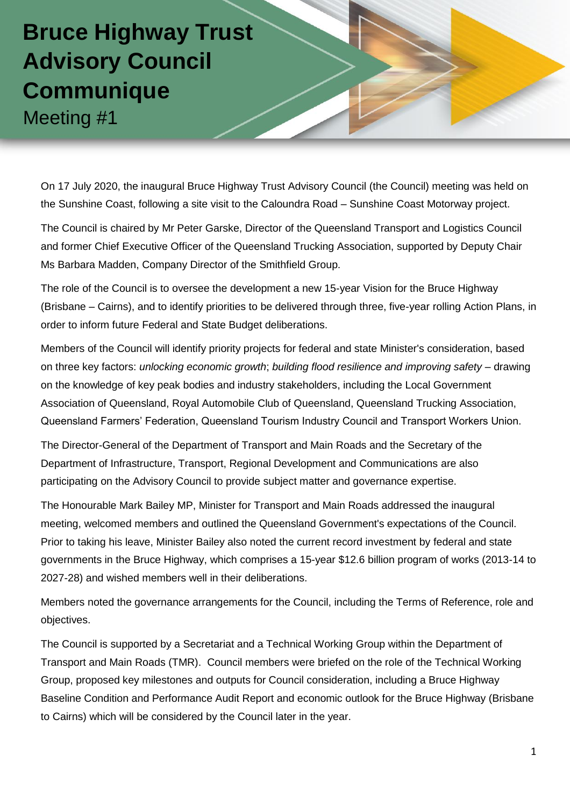## **Bruce Highway Trust Advisory Council Communique**  Meeting #1

On 17 July 2020, the inaugural Bruce Highway Trust Advisory Council (the Council) meeting was held on the Sunshine Coast, following a site visit to the Caloundra Road – Sunshine Coast Motorway project.

The Council is chaired by Mr Peter Garske, Director of the Queensland Transport and Logistics Council and former Chief Executive Officer of the Queensland Trucking Association, supported by Deputy Chair Ms Barbara Madden, Company Director of the Smithfield Group.

The role of the Council is to oversee the development a new 15-year Vision for the Bruce Highway (Brisbane – Cairns), and to identify priorities to be delivered through three, five-year rolling Action Plans, in order to inform future Federal and State Budget deliberations.

Members of the Council will identify priority projects for federal and state Minister's consideration, based on three key factors: *unlocking economic growth*; *building flood resilience and improving safety* – drawing on the knowledge of key peak bodies and industry stakeholders, including the Local Government Association of Queensland, Royal Automobile Club of Queensland, Queensland Trucking Association, Queensland Farmers' Federation, Queensland Tourism Industry Council and Transport Workers Union.

The Director-General of the Department of Transport and Main Roads and the Secretary of the Department of Infrastructure, Transport, Regional Development and Communications are also participating on the Advisory Council to provide subject matter and governance expertise.

The Honourable Mark Bailey MP, Minister for Transport and Main Roads addressed the inaugural meeting, welcomed members and outlined the Queensland Government's expectations of the Council. Prior to taking his leave, Minister Bailey also noted the current record investment by federal and state governments in the Bruce Highway, which comprises a 15-year \$12.6 billion program of works (2013-14 to 2027-28) and wished members well in their deliberations.

Members noted the governance arrangements for the Council, including the Terms of Reference, role and objectives.

The Council is supported by a Secretariat and a Technical Working Group within the Department of Transport and Main Roads (TMR). Council members were briefed on the role of the Technical Working Group, proposed key milestones and outputs for Council consideration, including a Bruce Highway Baseline Condition and Performance Audit Report and economic outlook for the Bruce Highway (Brisbane to Cairns) which will be considered by the Council later in the year.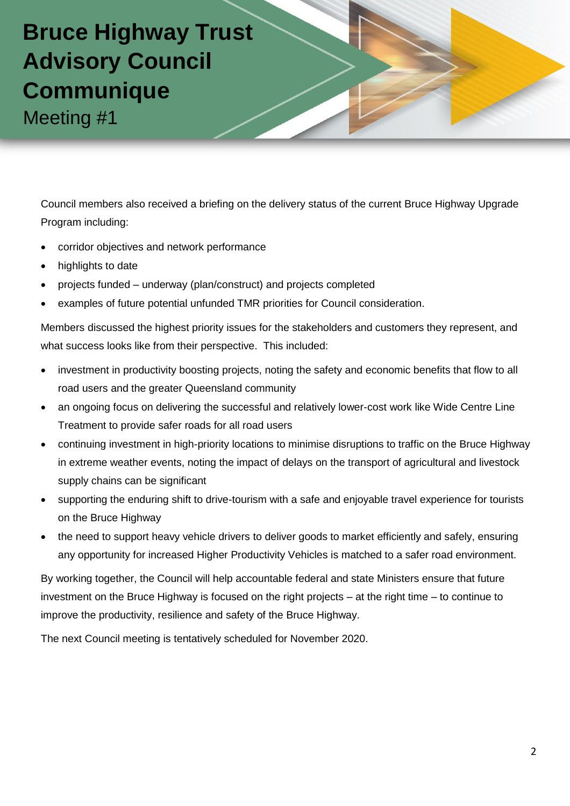

Council members also received a briefing on the delivery status of the current Bruce Highway Upgrade Program including:

- corridor objectives and network performance
- highlights to date
- projects funded underway (plan/construct) and projects completed
- examples of future potential unfunded TMR priorities for Council consideration.

Members discussed the highest priority issues for the stakeholders and customers they represent, and what success looks like from their perspective. This included:

- investment in productivity boosting projects, noting the safety and economic benefits that flow to all road users and the greater Queensland community
- an ongoing focus on delivering the successful and relatively lower-cost work like Wide Centre Line Treatment to provide safer roads for all road users
- continuing investment in high-priority locations to minimise disruptions to traffic on the Bruce Highway in extreme weather events, noting the impact of delays on the transport of agricultural and livestock supply chains can be significant
- supporting the enduring shift to drive-tourism with a safe and enjoyable travel experience for tourists on the Bruce Highway
- the need to support heavy vehicle drivers to deliver goods to market efficiently and safely, ensuring any opportunity for increased Higher Productivity Vehicles is matched to a safer road environment.

By working together, the Council will help accountable federal and state Ministers ensure that future investment on the Bruce Highway is focused on the right projects – at the right time – to continue to improve the productivity, resilience and safety of the Bruce Highway.

The next Council meeting is tentatively scheduled for November 2020.